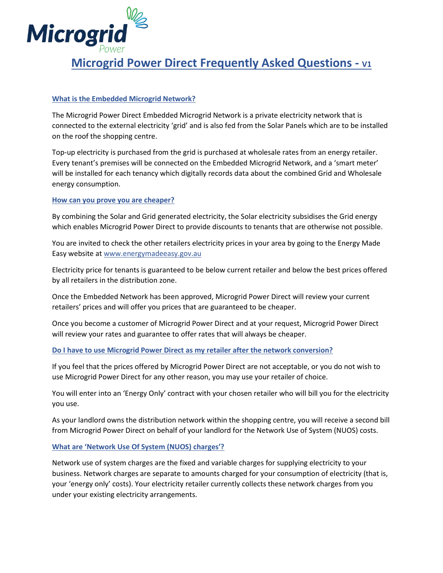

# **What is the Embedded Microgrid Network?**

The Microgrid Power Direct Embedded Microgrid Network is a private electricity network that is connected to the external electricity 'grid' and is also fed from the Solar Panels which are to be installed on the roof the shopping centre.

Top-up electricity is purchased from the grid is purchased at wholesale rates from an energy retailer. Every tenant's premises will be connected on the Embedded Microgrid Network, and a 'smart meter' will be installed for each tenancy which digitally records data about the combined Grid and Wholesale energy consumption.

## **How can you prove you are cheaper?**

By combining the Solar and Grid generated electricity, the Solar electricity subsidises the Grid energy which enables Microgrid Power Direct to provide discounts to tenants that are otherwise not possible.

You are invited to check the other retailers electricity prices in your area by going to the Energy Made Easy website a[t www.energymadeeasy.gov.au](http://www.energymadeeasy.gov.au/)

Electricity price for tenants is guaranteed to be below current retailer and below the best prices offered by all retailers in the distribution zone.

Once the Embedded Network has been approved, Microgrid Power Direct will review your current retailers' prices and will offer you prices that are guaranteed to be cheaper.

Once you become a customer of Microgrid Power Direct and at your request, Microgrid Power Direct will review your rates and guarantee to offer rates that will always be cheaper.

## **Do I have to use Microgrid Power Direct as my retailer after the network conversion?**

If you feel that the prices offered by Microgrid Power Direct are not acceptable, or you do not wish to use Microgrid Power Direct for any other reason, you may use your retailer of choice.

You will enter into an 'Energy Only' contract with your chosen retailer who will bill you for the electricity you use.

As your landlord owns the distribution network within the shopping centre, you will receive a second bill from Microgrid Power Direct on behalf of your landlord for the Network Use of System (NUOS) costs.

## **What are 'Network Use Of System (NUOS) charges'?**

Network use of system charges are the fixed and variable charges for supplying electricity to your business. Network charges are separate to amounts charged for your consumption of electricity (that is, your 'energy only' costs). Your electricity retailer currently collects these network charges from you under your existing electricity arrangements.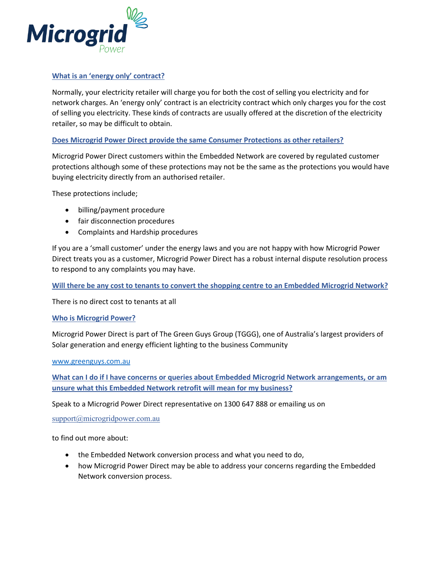

### **What is an 'energy only' contract?**

Normally, your electricity retailer will charge you for both the cost of selling you electricity and for network charges. An 'energy only' contract is an electricity contract which only charges you for the cost of selling you electricity. These kinds of contracts are usually offered at the discretion of the electricity retailer, so may be difficult to obtain.

### **Does Microgrid Power Direct provide the same Consumer Protections as other retailers?**

Microgrid Power Direct customers within the Embedded Network are covered by regulated customer protections although some of these protections may not be the same as the protections you would have buying electricity directly from an authorised retailer.

These protections include;

- billing/payment procedure
- fair disconnection procedures
- Complaints and Hardship procedures

If you are a 'small customer' under the energy laws and you are not happy with how Microgrid Power Direct treats you as a customer, Microgrid Power Direct has a robust internal dispute resolution process to respond to any complaints you may have.

**Will there be any cost to tenants to convert the shopping centre to an Embedded Microgrid Network?**

There is no direct cost to tenants at all

#### **Who is Microgrid Power?**

Microgrid Power Direct is part of The Green Guys Group (TGGG), one of Australia's largest providers of Solar generation and energy efficient lighting to the business Community

#### [www.greenguys.com.au](http://www.greenguys.com.au/)

**What can I do if I have concerns or queries about Embedded Microgrid Network arrangements, or am unsure what this Embedded Network retrofit will mean for my business?** 

Speak to a Microgrid Power Direct representative on 1300 647 888 or emailing us on

[support@microgridpower.com.au](mailto:support@microgridpower.com.au)

to find out more about:

- the Embedded Network conversion process and what you need to do,
- how Microgrid Power Direct may be able to address your concerns regarding the Embedded Network conversion process.